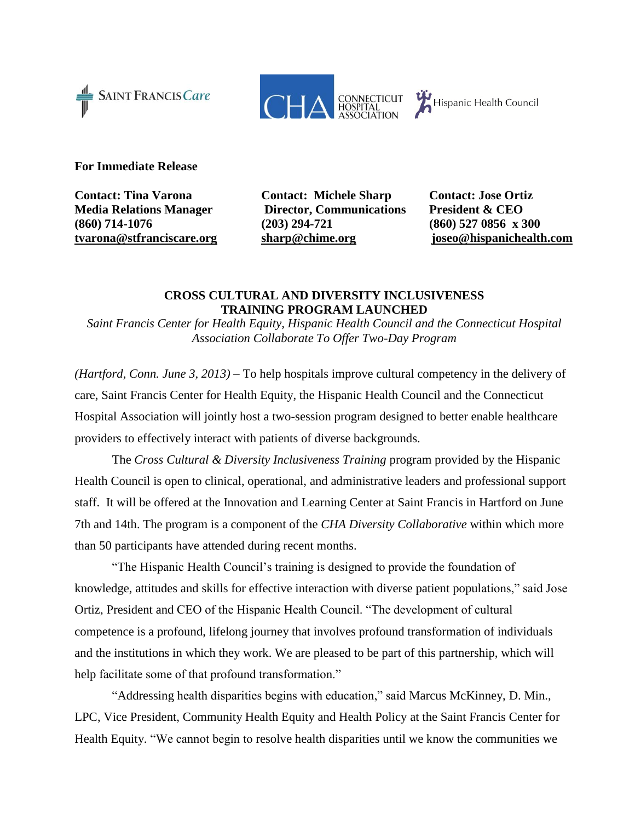



**For Immediate Release** 

**Contact: Tina Varona Contact: Michele Sharp Contact: Jose Ortiz**

**Media Relations Manager Director, Communications President & CEO (860) 714-1076 (203) 294-721 (860) 527 0856 x 300 [tvarona@stfranciscare.org](mailto:tvarona@stfranciscare.org) [sharp@chime.org](file://sfh15110fv4/users02$/fphelan/My%20Documents/Press%20Releases/2013/sharp@chime.org) [joseo@hispanichealth.com](mailto:joseo@hispanichealth.com)**

## **CROSS CULTURAL AND DIVERSITY INCLUSIVENESS TRAINING PROGRAM LAUNCHED**

*Saint Francis Center for Health Equity, Hispanic Health Council and the Connecticut Hospital Association Collaborate To Offer Two-Day Program*

*(Hartford, Conn. June 3, 2013) –* To help hospitals improve cultural competency in the delivery of care, Saint Francis Center for Health Equity, the Hispanic Health Council and the Connecticut Hospital Association will jointly host a two-session program designed to better enable healthcare providers to effectively interact with patients of diverse backgrounds.

The *Cross Cultural & Diversity Inclusiveness Training* program provided by the Hispanic Health Council is open to clinical, operational, and administrative leaders and professional support staff. It will be offered at the Innovation and Learning Center at Saint Francis in Hartford on June 7th and 14th. The program is a component of the *CHA Diversity Collaborative* within which more than 50 participants have attended during recent months.

"The Hispanic Health Council's training is designed to provide the foundation of knowledge, attitudes and skills for effective interaction with diverse patient populations," said Jose Ortiz, President and CEO of the Hispanic Health Council. "The development of cultural competence is a profound, lifelong journey that involves profound transformation of individuals and the institutions in which they work. We are pleased to be part of this partnership, which will help facilitate some of that profound transformation."

"Addressing health disparities begins with education," said Marcus McKinney, D. Min., LPC, Vice President, Community Health Equity and Health Policy at the Saint Francis Center for Health Equity. "We cannot begin to resolve health disparities until we know the communities we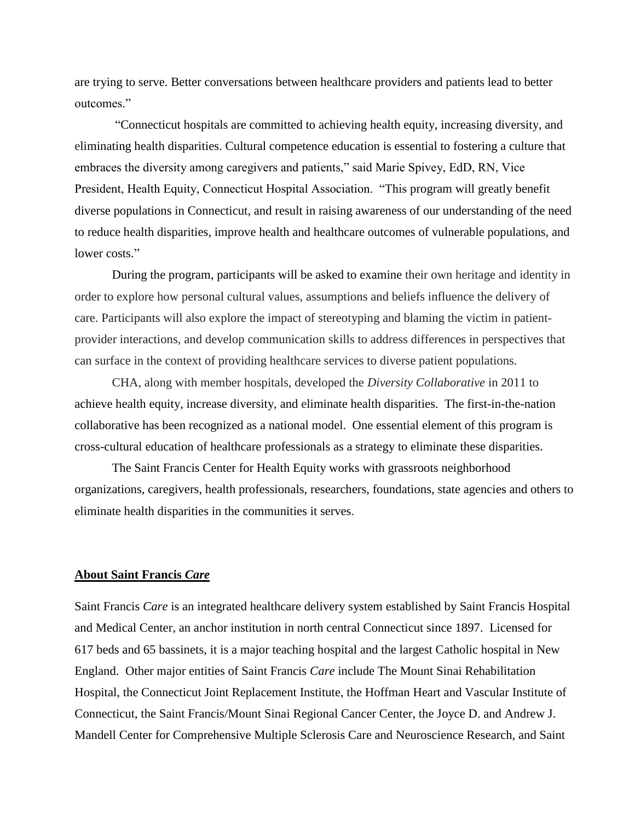are trying to serve. Better conversations between healthcare providers and patients lead to better outcomes."

"Connecticut hospitals are committed to achieving health equity, increasing diversity, and eliminating health disparities. Cultural competence education is essential to fostering a culture that embraces the diversity among caregivers and patients," said Marie Spivey, EdD, RN, Vice President, Health Equity, Connecticut Hospital Association. "This program will greatly benefit diverse populations in Connecticut, and result in raising awareness of our understanding of the need to reduce health disparities, improve health and healthcare outcomes of vulnerable populations, and lower costs."

During the program, participants will be asked to examine their own heritage and identity in order to explore how personal cultural values, assumptions and beliefs influence the delivery of care. Participants will also explore the impact of stereotyping and blaming the victim in patientprovider interactions, and develop communication skills to address differences in perspectives that can surface in the context of providing healthcare services to diverse patient populations.

CHA, along with member hospitals, developed the *Diversity Collaborative* in 2011 to achieve health equity, increase diversity, and eliminate health disparities. The first-in-the-nation collaborative has been recognized as a national model. One essential element of this program is cross-cultural education of healthcare professionals as a strategy to eliminate these disparities.

The Saint Francis Center for Health Equity works with grassroots neighborhood organizations, caregivers, health professionals, researchers, foundations, state agencies and others to eliminate health disparities in the communities it serves.

## **About Saint Francis** *Care*

Saint Francis *Care* is an integrated healthcare delivery system established by Saint Francis Hospital and Medical Center, an anchor institution in north central Connecticut since 1897. Licensed for 617 beds and 65 bassinets, it is a major teaching hospital and the largest Catholic hospital in New England. Other major entities of Saint Francis *Care* include The Mount Sinai Rehabilitation Hospital, the Connecticut Joint Replacement Institute, the Hoffman Heart and Vascular Institute of Connecticut, the Saint Francis/Mount Sinai Regional Cancer Center, the Joyce D. and Andrew J. Mandell Center for Comprehensive Multiple Sclerosis Care and Neuroscience Research, and Saint